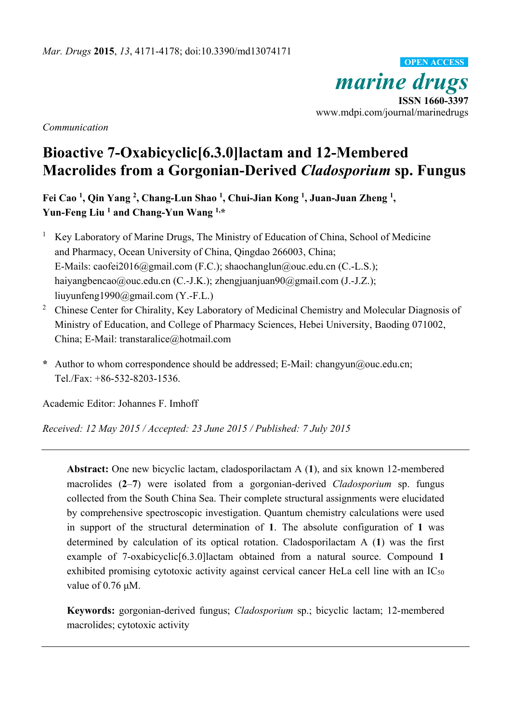*marine drugs*<br> **ISSN 1660-3397** www.mdpi.com/journal/marinedrugs **OPEN ACCESS**

*Communication* 

# **Bioactive 7-Oxabicyclic[6.3.0]lactam and 12-Membered Macrolides from a Gorgonian-Derived** *Cladosporium* **sp. Fungus**

**Fei Cao 1, Qin Yang 2, Chang-Lun Shao 1, Chui-Jian Kong 1, Juan-Juan Zheng 1,**  Yun-Feng Liu<sup>1</sup> and Chang-Yun Wang<sup>1,\*</sup>

1 Key Laboratory of Marine Drugs, The Ministry of Education of China, School of Medicine and Pharmacy, Ocean University of China, Qingdao 266003, China; E-Mails: caofei2016@gmail.com (F.C.); shaochanglun@ouc.edu.cn (C.-L.S.); haiyangbencao@ouc.edu.cn (C.-J.K.); zhengjuanjuan90@gmail.com (J.-J.Z.); liuyunfeng1990@gmail.com (Y.-F.L.)

<sup>2</sup> Chinese Center for Chirality, Key Laboratory of Medicinal Chemistry and Molecular Diagnosis of Ministry of Education, and College of Pharmacy Sciences, Hebei University, Baoding 071002, China; E-Mail: transtaralice@hotmail.com

**\*** Author to whom correspondence should be addressed; E-Mail: changyun@ouc.edu.cn; Tel./Fax: +86-532-8203-1536.

Academic Editor: Johannes F. Imhoff

*Received: 12 May 2015 / Accepted: 23 June 2015 / Published: 7 July 2015* 

**Abstract:** One new bicyclic lactam, cladosporilactam A (**1**), and six known 12-membered macrolides (**2**–**7**) were isolated from a gorgonian-derived *Cladosporium* sp. fungus collected from the South China Sea. Their complete structural assignments were elucidated by comprehensive spectroscopic investigation. Quantum chemistry calculations were used in support of the structural determination of **1**. The absolute configuration of **1** was determined by calculation of its optical rotation. Cladosporilactam A (**1**) was the first example of 7-oxabicyclic[6.3.0]lactam obtained from a natural source. Compound **1** exhibited promising cytotoxic activity against cervical cancer HeLa cell line with an IC<sub>50</sub> value of 0.76 μM.

**Keywords:** gorgonian-derived fungus; *Cladosporium* sp.; bicyclic lactam; 12-membered macrolides; cytotoxic activity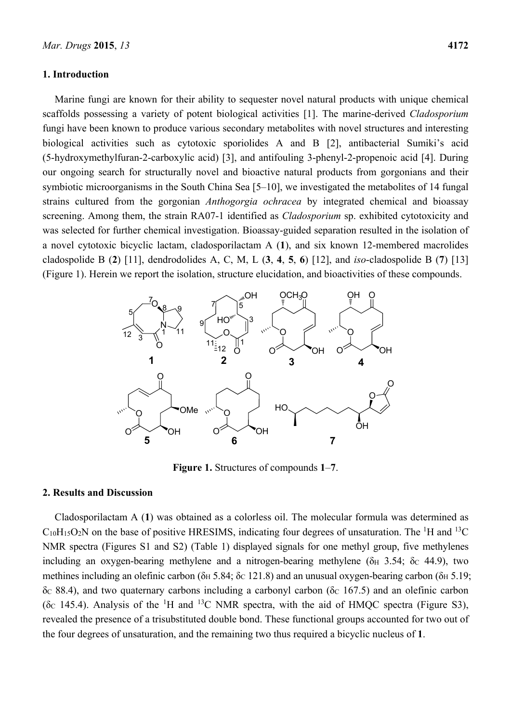## **1. Introduction**

Marine fungi are known for their ability to sequester novel natural products with unique chemical scaffolds possessing a variety of potent biological activities [1]. The marine-derived *Cladosporium* fungi have been known to produce various secondary metabolites with novel structures and interesting biological activities such as cytotoxic sporiolides A and B [2], antibacterial Sumiki's acid (5-hydroxymethylfuran-2-carboxylic acid) [3], and antifouling 3-phenyl-2-propenoic acid [4]. During our ongoing search for structurally novel and bioactive natural products from gorgonians and their symbiotic microorganisms in the South China Sea [5–10], we investigated the metabolites of 14 fungal strains cultured from the gorgonian *Anthogorgia ochracea* by integrated chemical and bioassay screening. Among them, the strain RA07-1 identified as *Cladosporium* sp. exhibited cytotoxicity and was selected for further chemical investigation. Bioassay-guided separation resulted in the isolation of a novel cytotoxic bicyclic lactam, cladosporilactam A (**1**), and six known 12-membered macrolides cladospolide B (**2**) [11], dendrodolides A, C, M, L (**3**, **4**, **5**, **6**) [12], and *iso*-cladospolide B (**7**) [13] (Figure 1). Herein we report the isolation, structure elucidation, and bioactivities of these compounds.



**Figure 1.** Structures of compounds **1**–**7**.

#### **2. Results and Discussion**

Cladosporilactam A (**1**) was obtained as a colorless oil. The molecular formula was determined as  $C_{10}H_{15}O_2N$  on the base of positive HRESIMS, indicating four degrees of unsaturation. The <sup>1</sup>H and <sup>13</sup>C NMR spectra (Figures S1 and S2) (Table 1) displayed signals for one methyl group, five methylenes including an oxygen-bearing methylene and a nitrogen-bearing methylene ( $\delta$ H 3.54;  $\delta$ C 44.9), two methines including an olefinic carbon ( $\delta$ <sub>H</sub> 5.84;  $\delta$ <sub>C</sub> 121.8) and an unusual oxygen-bearing carbon ( $\delta$ <sub>H</sub> 5.19;  $δc 88.4$ ), and two quaternary carbons including a carbonyl carbon ( $δc 167.5$ ) and an olefinic carbon ( $\delta$ c 145.4). Analysis of the <sup>1</sup>H and <sup>13</sup>C NMR spectra, with the aid of HMQC spectra (Figure S3), revealed the presence of a trisubstituted double bond. These functional groups accounted for two out of the four degrees of unsaturation, and the remaining two thus required a bicyclic nucleus of **1**.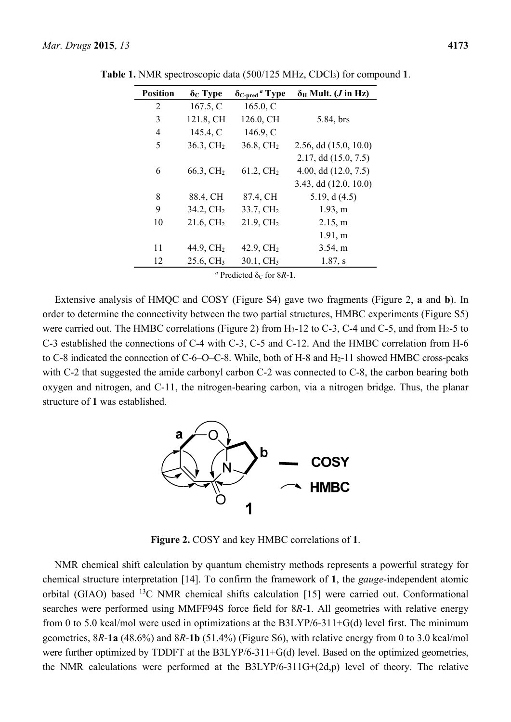| <b>Position</b> | $\delta_{\rm C}$ Type | $\delta$ <sub>C-pred</sub> <sup>a</sup> Type | $\delta_H$ Mult. ( <i>J</i> in Hz) |
|-----------------|-----------------------|----------------------------------------------|------------------------------------|
| 2               | 167.5, C              | 165.0, $C$                                   |                                    |
| 3               | 121.8, CH             | 126.0, CH                                    | 5.84, brs                          |
| 4               | 145.4, C              | 146.9, C                                     |                                    |
| 5               | $36.3, \mathrm{CH}_2$ | $36.8, \mathrm{CH}_2$                        | 2.56, dd (15.0, 10.0)              |
|                 |                       |                                              | 2.17, dd (15.0, 7.5)               |
| 6               | 66.3, $CH2$           | 61.2, CH <sub>2</sub>                        | 4.00, dd $(12.0, 7.5)$             |
|                 |                       |                                              | $3.43$ , dd $(12.0, 10.0)$         |
| 8               | 88.4, CH              | 87.4, CH                                     | 5.19, $d(4.5)$                     |
| 9               | $34.2, \mathrm{CH}_2$ | $33.7, \mathrm{CH}_2$                        | 1.93, m                            |
| 10              | $21.6, \mathrm{CH}_2$ | $21.9, \mathrm{CH}_2$                        | 2.15, m                            |
|                 |                       |                                              | 1.91, m                            |
| 11              | 44.9, CH <sub>2</sub> | 42.9, $CH2$                                  | 3.54, m                            |
| 12              | 25.6, CH <sub>3</sub> | $30.1, \text{CH}_3$                          | $1.87$ , s                         |

**Table 1.** NMR spectroscopic data (500/125 MHz, CDCl3) for compound **1**.

 $a$  Predicted  $\delta$ <sub>C</sub> for 8*R*-**1**.

Extensive analysis of HMQC and COSY (Figure S4) gave two fragments (Figure 2, **a** and **b**). In order to determine the connectivity between the two partial structures, HMBC experiments (Figure S5) were carried out. The HMBC correlations (Figure 2) from H<sub>3</sub>-12 to C-3, C-4 and C-5, and from H<sub>2</sub>-5 to C-3 established the connections of C-4 with C-3, C-5 and C-12. And the HMBC correlation from H-6 to C-8 indicated the connection of C-6–O–C-8. While, both of H-8 and H2-11 showed HMBC cross-peaks with C-2 that suggested the amide carbonyl carbon C-2 was connected to C-8, the carbon bearing both oxygen and nitrogen, and C-11, the nitrogen-bearing carbon, via a nitrogen bridge. Thus, the planar structure of **1** was established.



**Figure 2.** COSY and key HMBC correlations of **1**.

NMR chemical shift calculation by quantum chemistry methods represents a powerful strategy for chemical structure interpretation [14]. To confirm the framework of **1**, the *gauge*-independent atomic orbital (GIAO) based 13C NMR chemical shifts calculation [15] were carried out. Conformational searches were performed using MMFF94S force field for 8*R*-**1**. All geometries with relative energy from 0 to 5.0 kcal/mol were used in optimizations at the B3LYP/6-311+G(d) level first. The minimum geometries, 8*R*-**1a** (48.6%) and 8*R*-**1b** (51.4%) (Figure S6), with relative energy from 0 to 3.0 kcal/mol were further optimized by TDDFT at the B3LYP/6-311+G(d) level. Based on the optimized geometries, the NMR calculations were performed at the B3LYP/6-311G+(2d,p) level of theory. The relative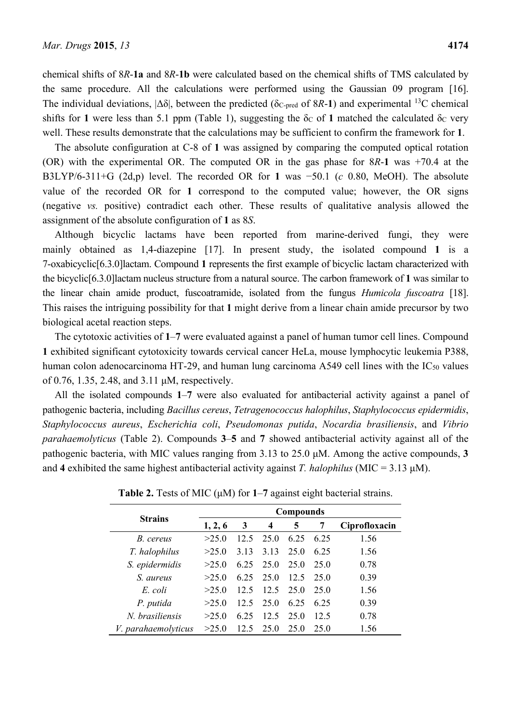chemical shifts of 8*R*-**1a** and 8*R*-**1b** were calculated based on the chemical shifts of TMS calculated by the same procedure. All the calculations were performed using the Gaussian 09 program [16]. The individual deviations,  $|\Delta \delta|$ , between the predicted ( $\delta$ c-pred of  $8R-1$ ) and experimental <sup>13</sup>C chemical shifts for 1 were less than 5.1 ppm (Table 1), suggesting the  $\delta$ c of 1 matched the calculated  $\delta$ c very well. These results demonstrate that the calculations may be sufficient to confirm the framework for **1**.

The absolute configuration at C-8 of **1** was assigned by comparing the computed optical rotation (OR) with the experimental OR. The computed OR in the gas phase for 8*R*-**1** was +70.4 at the B3LYP/6-311+G (2d,p) level. The recorded OR for **1** was −50.1 (*c* 0.80, MeOH). The absolute value of the recorded OR for **1** correspond to the computed value; however, the OR signs (negative *vs.* positive) contradict each other. These results of qualitative analysis allowed the assignment of the absolute configuration of **1** as 8*S*.

Although bicyclic lactams have been reported from marine-derived fungi, they were mainly obtained as 1,4-diazepine [17]. In present study, the isolated compound **1** is a 7-oxabicyclic[6.3.0]lactam. Compound **1** represents the first example of bicyclic lactam characterized with the bicyclic[6.3.0]lactam nucleus structure from a natural source. The carbon framework of **1** was similar to the linear chain amide product, fuscoatramide, isolated from the fungus *Humicola fuscoatra* [18]. This raises the intriguing possibility for that **1** might derive from a linear chain amide precursor by two biological acetal reaction steps.

The cytotoxic activities of **1**–**7** were evaluated against a panel of human tumor cell lines. Compound **1** exhibited significant cytotoxicity towards cervical cancer HeLa, mouse lymphocytic leukemia P388, human colon adenocarcinoma HT-29, and human lung carcinoma A549 cell lines with the IC<sub>50</sub> values of 0.76, 1.35, 2.48, and 3.11 μM, respectively.

All the isolated compounds **1**–**7** were also evaluated for antibacterial activity against a panel of pathogenic bacteria, including *Bacillus cereus*, *Tetragenococcus halophilus*, *Staphylococcus epidermidis*, *Staphylococcus aureus*, *Escherichia coli*, *Pseudomonas putida*, *Nocardia brasiliensis*, and *Vibrio parahaemolyticus* (Table 2). Compounds **3**–**5** and **7** showed antibacterial activity against all of the pathogenic bacteria, with MIC values ranging from 3.13 to 25.0 μM. Among the active compounds, **3** and **4** exhibited the same highest antibacterial activity against *T. halophilus* (MIC = 3.13 μM).

|                     | <b>Compounds</b> |      |                 |      |      |               |
|---------------------|------------------|------|-----------------|------|------|---------------|
| <b>Strains</b>      | 1, 2, 6          | 3    | 4               | 5    | 7    | Ciprofloxacin |
| B. cereus           | >25.0            | 12.5 | 25.0            | 6.25 | 6 25 | 1.56          |
| T. halophilus       | >25.0            | 3.13 | 3.13            | 25.0 | 6 25 | 1.56          |
| S. epidermidis      | >25.0            | 6.25 | 25.0            | 25.0 | 25.0 | 0.78          |
| S. aureus           | >25.0            | 6.25 | 25.0            | 12.5 | 25.0 | 0.39          |
| E coli              | >25.0            | 12.5 | 12.5            | 25.0 | 25.0 | 1.56          |
| P. putida           | >25.0            | 12.5 | 25.0            | 6.25 | 6 25 | 0.39          |
| N. brasiliensis     | >25.0            | 6 25 | 12.5            | 25.0 | 12.5 | 0.78          |
| V. parahaemolyticus | >25.0            | 12.5 | 25 <sup>0</sup> | 25.0 | 25.0 | 1.56          |

**Table 2.** Tests of MIC (μM) for **1**–**7** against eight bacterial strains.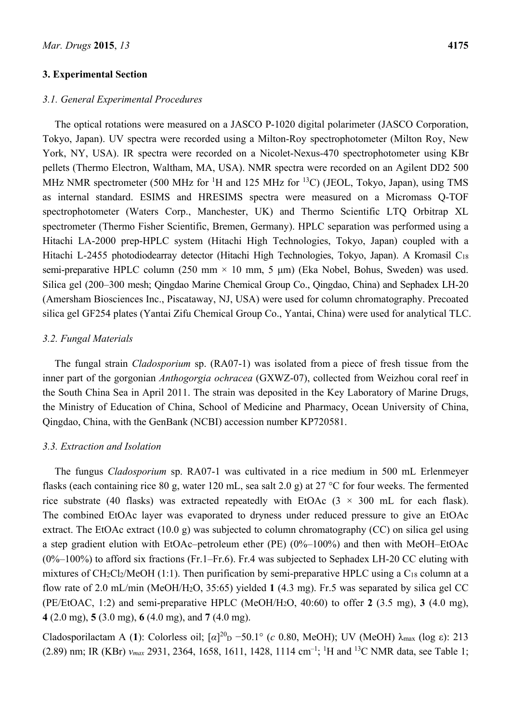#### **3. Experimental Section**

## *3.1. General Experimental Procedures*

The optical rotations were measured on a JASCO P-1020 digital polarimeter (JASCO Corporation, Tokyo, Japan). UV spectra were recorded using a Milton-Roy spectrophotometer (Milton Roy, New York, NY, USA). IR spectra were recorded on a Nicolet-Nexus-470 spectrophotometer using KBr pellets (Thermo Electron, Waltham, MA, USA). NMR spectra were recorded on an Agilent DD2 500 MHz NMR spectrometer (500 MHz for <sup>1</sup>H and 125 MHz for <sup>13</sup>C) (JEOL, Tokyo, Japan), using TMS as internal standard. ESIMS and HRESIMS spectra were measured on a Micromass Q-TOF spectrophotometer (Waters Corp., Manchester, UK) and Thermo Scientific LTQ Orbitrap XL spectrometer (Thermo Fisher Scientific, Bremen, Germany). HPLC separation was performed using a Hitachi LA-2000 prep-HPLC system (Hitachi High Technologies, Tokyo, Japan) coupled with a Hitachi L-2455 photodiodearray detector (Hitachi High Technologies, Tokyo, Japan). A Kromasil C18 semi-preparative HPLC column (250 mm  $\times$  10 mm, 5 µm) (Eka Nobel, Bohus, Sweden) was used. Silica gel (200–300 mesh; Qingdao Marine Chemical Group Co., Qingdao, China) and Sephadex LH-20 (Amersham Biosciences Inc., Piscataway, NJ, USA) were used for column chromatography. Precoated silica gel GF254 plates (Yantai Zifu Chemical Group Co., Yantai, China) were used for analytical TLC.

## *3.2. Fungal Materials*

The fungal strain *Cladosporium* sp. (RA07-1) was isolated from a piece of fresh tissue from the inner part of the gorgonian *Anthogorgia ochracea* (GXWZ-07), collected from Weizhou coral reef in the South China Sea in April 2011. The strain was deposited in the Key Laboratory of Marine Drugs, the Ministry of Education of China, School of Medicine and Pharmacy, Ocean University of China, Qingdao, China, with the GenBank (NCBI) accession number KP720581.

## *3.3. Extraction and Isolation*

The fungus *Cladosporium* sp. RA07-1 was cultivated in a rice medium in 500 mL Erlenmeyer flasks (each containing rice 80 g, water 120 mL, sea salt 2.0 g) at 27 °C for four weeks. The fermented rice substrate (40 flasks) was extracted repeatedly with EtOAc ( $3 \times 300$  mL for each flask). The combined EtOAc layer was evaporated to dryness under reduced pressure to give an EtOAc extract. The EtOAc extract (10.0 g) was subjected to column chromatography (CC) on silica gel using a step gradient elution with EtOAc–petroleum ether (PE) (0%–100%) and then with MeOH–EtOAc (0%–100%) to afford six fractions (Fr.1–Fr.6). Fr.4 was subjected to Sephadex LH-20 CC eluting with mixtures of CH2Cl2/MeOH (1:1). Then purification by semi-preparative HPLC using a C18 column at a flow rate of 2.0 mL/min (MeOH/H2O, 35:65) yielded **1** (4.3 mg). Fr.5 was separated by silica gel CC (PE/EtOAC, 1:2) and semi-preparative HPLC (MeOH/H2O, 40:60) to offer **2** (3.5 mg), **3** (4.0 mg), **4** (2.0 mg), **5** (3.0 mg), **6** (4.0 mg), and **7** (4.0 mg).

Cladosporilactam A (1): Colorless oil;  $[α]^{20}$   $-50.1°$  (*c* 0.80, MeOH); UV (MeOH) λ<sub>max</sub> (log ε): 213 (2.89) nm; IR (KBr) *νmax* 2931, 2364, 1658, 1611, 1428, 1114 cm–1; 1 H and 13C NMR data, see Table 1;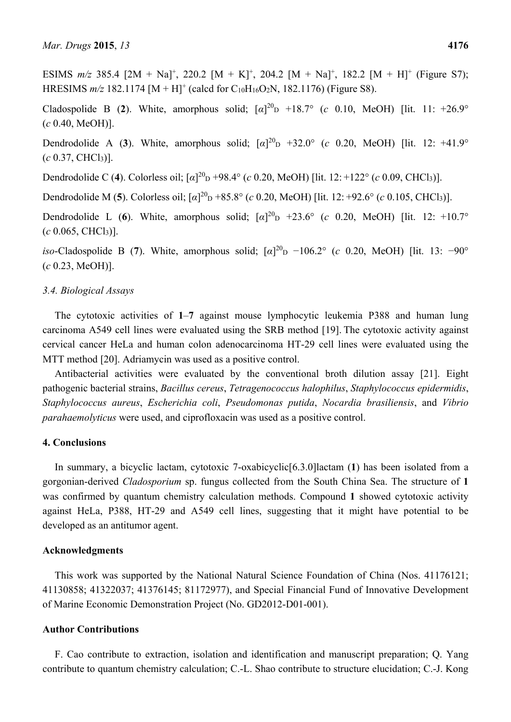Cladospolide B (2). White, amorphous solid;  $[\alpha]^{20}D +18.7^{\circ}$  (*c* 0.10, MeOH) [lit. 11: +26.9° (*c* 0.40, MeOH)].

Dendrodolide A (3). White, amorphous solid;  $[\alpha]^{20}$ <sub>D</sub> +32.0° (*c* 0.20, MeOH) [lit. 12: +41.9° (*c* 0.37, CHCl3)].

Dendrodolide C (4). Colorless oil;  $[\alpha]^{20}$ <sub>D</sub> +98.4° (*c* 0.20, MeOH) [lit. 12: +122° (*c* 0.09, CHCl<sub>3</sub>)].

Dendrodolide M (5). Colorless oil; [*α*]<sup>20</sup><sub>D</sub> +85.8° (*c* 0.20, MeOH) [lit. 12: +92.6° (*c* 0.105, CHCl<sub>3</sub>)].

Dendrodolide L (6). White, amorphous solid;  $[\alpha]^{20}$  +23.6° (*c* 0.20, MeOH) [lit. 12: +10.7°  $(c \ 0.065, CHCl<sub>3</sub>)$ ].

*iso*-Cladospolide B (7). White, amorphous solid;  $\lceil \alpha \rceil^{20}$  –106.2° (*c* 0.20, MeOH) [lit. 13: −90° (*c* 0.23, MeOH)].

## *3.4. Biological Assays*

The cytotoxic activities of **1**–**7** against mouse lymphocytic leukemia P388 and human lung carcinoma A549 cell lines were evaluated using the SRB method [19]. The cytotoxic activity against cervical cancer HeLa and human colon adenocarcinoma HT-29 cell lines were evaluated using the MTT method [20]. Adriamycin was used as a positive control.

Antibacterial activities were evaluated by the conventional broth dilution assay [21]. Eight pathogenic bacterial strains, *Bacillus cereus*, *Tetragenococcus halophilus*, *Staphylococcus epidermidis*, *Staphylococcus aureus*, *Escherichia coli*, *Pseudomonas putida*, *Nocardia brasiliensis*, and *Vibrio parahaemolyticus* were used, and ciprofloxacin was used as a positive control.

## **4. Conclusions**

In summary, a bicyclic lactam, cytotoxic 7-oxabicyclic[6.3.0]lactam (**1**) has been isolated from a gorgonian-derived *Cladosporium* sp. fungus collected from the South China Sea. The structure of **1** was confirmed by quantum chemistry calculation methods. Compound **1** showed cytotoxic activity against HeLa, P388, HT-29 and A549 cell lines, suggesting that it might have potential to be developed as an antitumor agent.

## **Acknowledgments**

This work was supported by the National Natural Science Foundation of China (Nos. 41176121; 41130858; 41322037; 41376145; 81172977), and Special Financial Fund of Innovative Development of Marine Economic Demonstration Project (No. GD2012-D01-001).

## **Author Contributions**

F. Cao contribute to extraction, isolation and identification and manuscript preparation; Q. Yang contribute to quantum chemistry calculation; C.-L. Shao contribute to structure elucidation; C.-J. Kong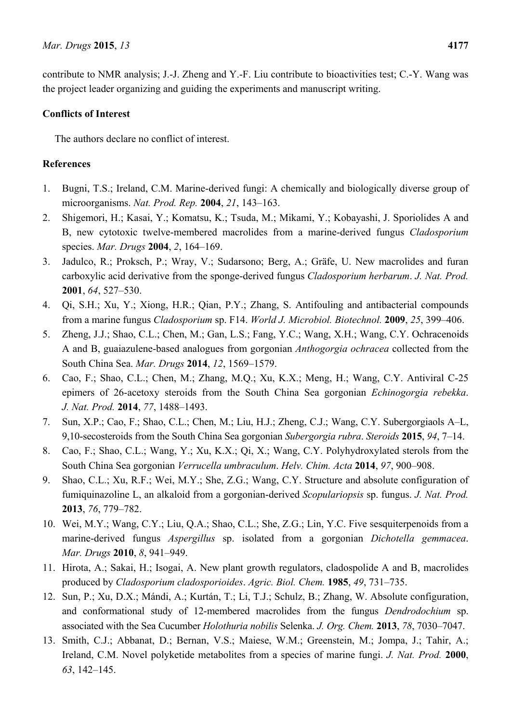contribute to NMR analysis; J.-J. Zheng and Y.-F. Liu contribute to bioactivities test; C.-Y. Wang was the project leader organizing and guiding the experiments and manuscript writing.

## **Conflicts of Interest**

The authors declare no conflict of interest.

# **References**

- 1. Bugni, T.S.; Ireland, C.M. Marine-derived fungi: A chemically and biologically diverse group of microorganisms. *Nat. Prod. Rep.* **2004**, *21*, 143–163.
- 2. Shigemori, H.; Kasai, Y.; Komatsu, K.; Tsuda, M.; Mikami, Y.; Kobayashi, J. Sporiolides A and B, new cytotoxic twelve-membered macrolides from a marine-derived fungus *Cladosporium*  species. *Mar. Drugs* **2004**, *2*, 164–169.
- 3. Jadulco, R.; Proksch, P.; Wray, V.; Sudarsono; Berg, A.; Gräfe, U. New macrolides and furan carboxylic acid derivative from the sponge-derived fungus *Cladosporium herbarum*. *J. Nat. Prod.*  **2001**, *64*, 527–530.
- 4. Qi, S.H.; Xu, Y.; Xiong, H.R.; Qian, P.Y.; Zhang, S. Antifouling and antibacterial compounds from a marine fungus *Cladosporium* sp. F14. *World J. Microbiol. Biotechnol.* **2009**, *25*, 399–406.
- 5. Zheng, J.J.; Shao, C.L.; Chen, M.; Gan, L.S.; Fang, Y.C.; Wang, X.H.; Wang, C.Y. Ochracenoids A and B, guaiazulene-based analogues from gorgonian *Anthogorgia ochracea* collected from the South China Sea. *Mar. Drugs* **2014**, *12*, 1569–1579.
- 6. Cao, F.; Shao, C.L.; Chen, M.; Zhang, M.Q.; Xu, K.X.; Meng, H.; Wang, C.Y. Antiviral C-25 epimers of 26-acetoxy steroids from the South China Sea gorgonian *Echinogorgia rebekka*. *J. Nat. Prod.* **2014**, *77*, 1488–1493.
- 7. Sun, X.P.; Cao, F.; Shao, C.L.; Chen, M.; Liu, H.J.; Zheng, C.J.; Wang, C.Y. Subergorgiaols A–L, 9,10-secosteroids from the South China Sea gorgonian *Subergorgia rubra*. *Steroids* **2015**, *94*, 7–14.
- 8. Cao, F.; Shao, C.L.; Wang, Y.; Xu, K.X.; Qi, X.; Wang, C.Y. Polyhydroxylated sterols from the South China Sea gorgonian *Verrucella umbraculum*. *Helv. Chim. Acta* **2014**, *97*, 900–908.
- 9. Shao, C.L.; Xu, R.F.; Wei, M.Y.; She, Z.G.; Wang, C.Y. Structure and absolute configuration of fumiquinazoline L, an alkaloid from a gorgonian-derived *Scopulariopsis* sp. fungus. *J. Nat. Prod.* **2013**, *76*, 779–782.
- 10. Wei, M.Y.; Wang, C.Y.; Liu, Q.A.; Shao, C.L.; She, Z.G.; Lin, Y.C. Five sesquiterpenoids from a marine-derived fungus *Aspergillus* sp. isolated from a gorgonian *Dichotella gemmacea*. *Mar. Drugs* **2010**, *8*, 941–949.
- 11. Hirota, A.; Sakai, H.; Isogai, A. New plant growth regulators, cladospolide A and B, macrolides produced by *Cladosporium cladosporioides*. *Agric. Biol. Chem.* **1985**, *49*, 731–735.
- 12. Sun, P.; Xu, D.X.; Mándi, A.; Kurtán, T.; Li, T.J.; Schulz, B.; Zhang, W. Absolute configuration, and conformational study of 12-membered macrolides from the fungus *Dendrodochium* sp. associated with the Sea Cucumber *Holothuria nobilis* Selenka. *J. Org. Chem.* **2013**, *78*, 7030–7047.
- 13. Smith, C.J.; Abbanat, D.; Bernan, V.S.; Maiese, W.M.; Greenstein, M.; Jompa, J.; Tahir, A.; Ireland, C.M. Novel polyketide metabolites from a species of marine fungi. *J. Nat. Prod.* **2000**, *63*, 142–145.